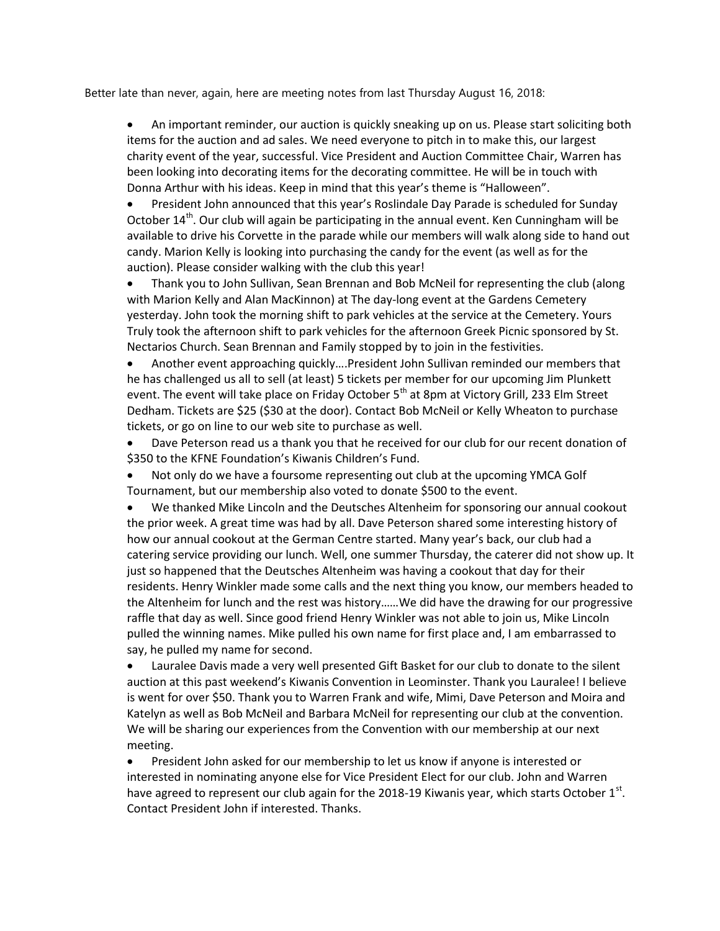Better late than never, again, here are meeting notes from last Thursday August 16, 2018:

 An important reminder, our auction is quickly sneaking up on us. Please start soliciting both items for the auction and ad sales. We need everyone to pitch in to make this, our largest charity event of the year, successful. Vice President and Auction Committee Chair, Warren has been looking into decorating items for the decorating committee. He will be in touch with Donna Arthur with his ideas. Keep in mind that this year's theme is "Halloween".

 President John announced that this year's Roslindale Day Parade is scheduled for Sunday October 14<sup>th</sup>. Our club will again be participating in the annual event. Ken Cunningham will be available to drive his Corvette in the parade while our members will walk along side to hand out candy. Marion Kelly is looking into purchasing the candy for the event (as well as for the auction). Please consider walking with the club this year!

 Thank you to John Sullivan, Sean Brennan and Bob McNeil for representing the club (along with Marion Kelly and Alan MacKinnon) at The day-long event at the Gardens Cemetery yesterday. John took the morning shift to park vehicles at the service at the Cemetery. Yours Truly took the afternoon shift to park vehicles for the afternoon Greek Picnic sponsored by St. Nectarios Church. Sean Brennan and Family stopped by to join in the festivities.

 Another event approaching quickly….President John Sullivan reminded our members that he has challenged us all to sell (at least) 5 tickets per member for our upcoming Jim Plunkett event. The event will take place on Friday October 5<sup>th</sup> at 8pm at Victory Grill, 233 Elm Street Dedham. Tickets are \$25 (\$30 at the door). Contact Bob McNeil or Kelly Wheaton to purchase tickets, or go on line to our web site to purchase as well.

 Dave Peterson read us a thank you that he received for our club for our recent donation of \$350 to the KFNE Foundation's Kiwanis Children's Fund.

 Not only do we have a foursome representing out club at the upcoming YMCA Golf Tournament, but our membership also voted to donate \$500 to the event.

 We thanked Mike Lincoln and the Deutsches Altenheim for sponsoring our annual cookout the prior week. A great time was had by all. Dave Peterson shared some interesting history of how our annual cookout at the German Centre started. Many year's back, our club had a catering service providing our lunch. Well, one summer Thursday, the caterer did not show up. It just so happened that the Deutsches Altenheim was having a cookout that day for their residents. Henry Winkler made some calls and the next thing you know, our members headed to the Altenheim for lunch and the rest was history……We did have the drawing for our progressive raffle that day as well. Since good friend Henry Winkler was not able to join us, Mike Lincoln pulled the winning names. Mike pulled his own name for first place and, I am embarrassed to say, he pulled my name for second.

 Lauralee Davis made a very well presented Gift Basket for our club to donate to the silent auction at this past weekend's Kiwanis Convention in Leominster. Thank you Lauralee! I believe is went for over \$50. Thank you to Warren Frank and wife, Mimi, Dave Peterson and Moira and Katelyn as well as Bob McNeil and Barbara McNeil for representing our club at the convention. We will be sharing our experiences from the Convention with our membership at our next meeting.

 President John asked for our membership to let us know if anyone is interested or interested in nominating anyone else for Vice President Elect for our club. John and Warren have agreed to represent our club again for the 2018-19 Kiwanis year, which starts October 1<sup>st</sup>. Contact President John if interested. Thanks.